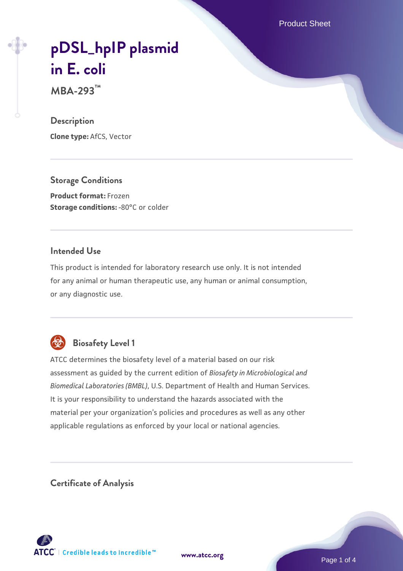Product Sheet

# **[pDSL\\_hpIP plasmid](https://www.atcc.org/products/mba-293) [in E. coli](https://www.atcc.org/products/mba-293)**

**MBA-293™**

#### **Description**

**Clone type:** AfCS, Vector

**Storage Conditions Product format:** Frozen **Storage conditions: -80°C or colder** 

#### **Intended Use**

This product is intended for laboratory research use only. It is not intended for any animal or human therapeutic use, any human or animal consumption, or any diagnostic use.



# **Biosafety Level 1**

ATCC determines the biosafety level of a material based on our risk assessment as guided by the current edition of *Biosafety in Microbiological and Biomedical Laboratories (BMBL)*, U.S. Department of Health and Human Services. It is your responsibility to understand the hazards associated with the material per your organization's policies and procedures as well as any other applicable regulations as enforced by your local or national agencies.

**Certificate of Analysis**

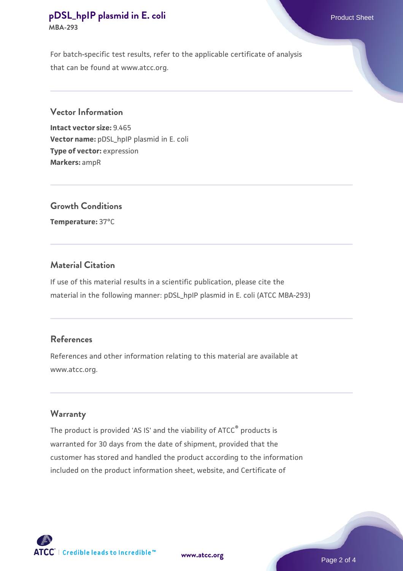#### **[pDSL\\_hpIP plasmid in E. coli](https://www.atcc.org/products/mba-293)** Product Sheet **MBA-293**

For batch-specific test results, refer to the applicable certificate of analysis that can be found at www.atcc.org.

#### **Vector Information**

**Intact vector size:** 9.465 **Vector name:** pDSL\_hpIP plasmid in E. coli **Type of vector:** expression **Markers:** ampR

## **Growth Conditions**

**Temperature:** 37°C

#### **Material Citation**

If use of this material results in a scientific publication, please cite the material in the following manner: pDSL\_hpIP plasmid in E. coli (ATCC MBA-293)

#### **References**

References and other information relating to this material are available at www.atcc.org.

#### **Warranty**

The product is provided 'AS IS' and the viability of ATCC® products is warranted for 30 days from the date of shipment, provided that the customer has stored and handled the product according to the information included on the product information sheet, website, and Certificate of



**[www.atcc.org](http://www.atcc.org)**

Page 2 of 4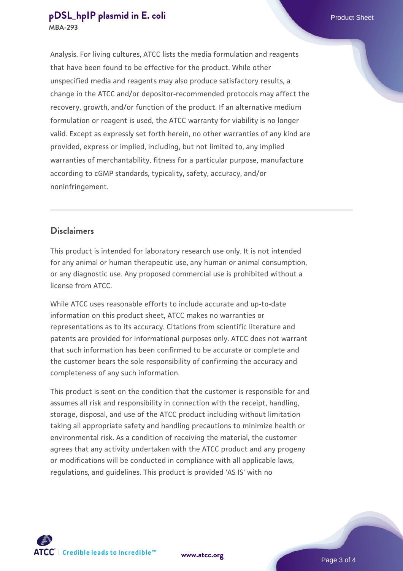#### **[pDSL\\_hpIP plasmid in E. coli](https://www.atcc.org/products/mba-293)** Product Sheet **MBA-293**

Analysis. For living cultures, ATCC lists the media formulation and reagents that have been found to be effective for the product. While other unspecified media and reagents may also produce satisfactory results, a change in the ATCC and/or depositor-recommended protocols may affect the recovery, growth, and/or function of the product. If an alternative medium formulation or reagent is used, the ATCC warranty for viability is no longer valid. Except as expressly set forth herein, no other warranties of any kind are provided, express or implied, including, but not limited to, any implied warranties of merchantability, fitness for a particular purpose, manufacture according to cGMP standards, typicality, safety, accuracy, and/or noninfringement.

### **Disclaimers**

This product is intended for laboratory research use only. It is not intended for any animal or human therapeutic use, any human or animal consumption, or any diagnostic use. Any proposed commercial use is prohibited without a license from ATCC.

While ATCC uses reasonable efforts to include accurate and up-to-date information on this product sheet, ATCC makes no warranties or representations as to its accuracy. Citations from scientific literature and patents are provided for informational purposes only. ATCC does not warrant that such information has been confirmed to be accurate or complete and the customer bears the sole responsibility of confirming the accuracy and completeness of any such information.

This product is sent on the condition that the customer is responsible for and assumes all risk and responsibility in connection with the receipt, handling, storage, disposal, and use of the ATCC product including without limitation taking all appropriate safety and handling precautions to minimize health or environmental risk. As a condition of receiving the material, the customer agrees that any activity undertaken with the ATCC product and any progeny or modifications will be conducted in compliance with all applicable laws, regulations, and guidelines. This product is provided 'AS IS' with no